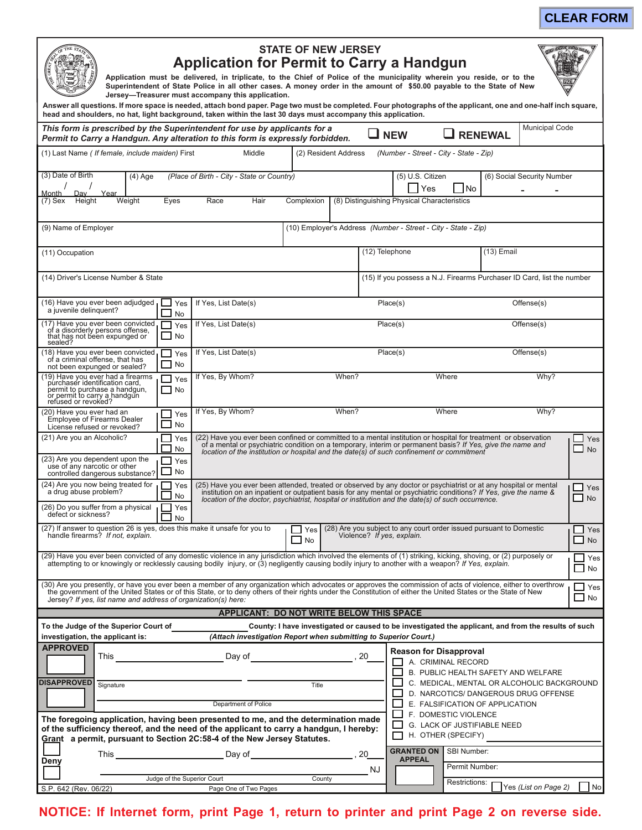| <b>STATE OF NEW JERSEY</b><br><b>Application for Permit to Carry a Handgun</b><br>Application must be delivered, in triplicate, to the Chief of Police of the municipality wherein you reside, or to the<br>Superintendent of State Police in all other cases. A money order in the amount of \$50.00 payable to the State of New<br>Jersey-Treasurer must accompany this application.<br>Answer all questions. If more space is needed, attach bond paper. Page two must be completed. Four photographs of the applicant, one and one-half inch square,<br>head and shoulders, no hat, light background, taken within the last 30 days must accompany this application. |                                                                                                                                                                                                                                                                                                                                                         |                                                                                   |  |  |  |
|--------------------------------------------------------------------------------------------------------------------------------------------------------------------------------------------------------------------------------------------------------------------------------------------------------------------------------------------------------------------------------------------------------------------------------------------------------------------------------------------------------------------------------------------------------------------------------------------------------------------------------------------------------------------------|---------------------------------------------------------------------------------------------------------------------------------------------------------------------------------------------------------------------------------------------------------------------------------------------------------------------------------------------------------|-----------------------------------------------------------------------------------|--|--|--|
| This form is prescribed by the Superintendent for use by applicants for a<br>Permit to Carry a Handgun. Any alteration to this form is expressly forbidden.                                                                                                                                                                                                                                                                                                                                                                                                                                                                                                              | <b>RENEWAL</b><br><b>NEW</b>                                                                                                                                                                                                                                                                                                                            | <b>Municipal Code</b>                                                             |  |  |  |
| (1) Last Name ( If female, include maiden) First<br>Middle<br>(Number - Street - City - State - Zip)<br>(2) Resident Address                                                                                                                                                                                                                                                                                                                                                                                                                                                                                                                                             |                                                                                                                                                                                                                                                                                                                                                         |                                                                                   |  |  |  |
| (3) Date of Birth<br>(Place of Birth - City - State or Country)<br>(5) U.S. Citizen<br>$(4)$ Age<br>(6) Social Security Number                                                                                                                                                                                                                                                                                                                                                                                                                                                                                                                                           |                                                                                                                                                                                                                                                                                                                                                         |                                                                                   |  |  |  |
| Yes<br>- I No<br>Dav<br>Month<br>Year                                                                                                                                                                                                                                                                                                                                                                                                                                                                                                                                                                                                                                    |                                                                                                                                                                                                                                                                                                                                                         |                                                                                   |  |  |  |
| Hair<br>(8) Distinguishing Physical Characteristics<br>Height<br>Weight<br>Eyes<br>Race<br>Complexion<br>(7) Sex                                                                                                                                                                                                                                                                                                                                                                                                                                                                                                                                                         |                                                                                                                                                                                                                                                                                                                                                         |                                                                                   |  |  |  |
| (10) Employer's Address (Number - Street - City - State - Zip)<br>(9) Name of Employer                                                                                                                                                                                                                                                                                                                                                                                                                                                                                                                                                                                   |                                                                                                                                                                                                                                                                                                                                                         |                                                                                   |  |  |  |
| (11) Occupation                                                                                                                                                                                                                                                                                                                                                                                                                                                                                                                                                                                                                                                          | (12) Telephone                                                                                                                                                                                                                                                                                                                                          | (13) Email                                                                        |  |  |  |
| (14) Driver's License Number & State<br>(15) If you possess a N.J. Firearms Purchaser ID Card, list the number                                                                                                                                                                                                                                                                                                                                                                                                                                                                                                                                                           |                                                                                                                                                                                                                                                                                                                                                         |                                                                                   |  |  |  |
| (16) Have you ever been adjudged<br>If Yes, List Date(s)<br>Yes<br>a juvenile delinquent?<br>No                                                                                                                                                                                                                                                                                                                                                                                                                                                                                                                                                                          | Place(s)                                                                                                                                                                                                                                                                                                                                                | Offense(s)                                                                        |  |  |  |
| (17) Have you ever been convicted<br>If Yes, List Date(s)<br>Yes<br>of a disorderly persons offense,<br>that has not been expunged or<br><b>No</b><br>sealed?                                                                                                                                                                                                                                                                                                                                                                                                                                                                                                            | Place(s)<br>Offense(s)                                                                                                                                                                                                                                                                                                                                  |                                                                                   |  |  |  |
| (18) Have you ever been convicted<br>If Yes, List Date(s)<br>Yes<br>of a criminal offense, that has<br><b>No</b><br>not been expunged or sealed?                                                                                                                                                                                                                                                                                                                                                                                                                                                                                                                         | Place(s)                                                                                                                                                                                                                                                                                                                                                | Offense(s)                                                                        |  |  |  |
| (19) Have you ever had a firearms<br>If Yes, By Whom?<br>When?<br>Yes<br>purchaser identification card,<br>permit to purchase a handgun,<br>l I No<br>or permit to carry a handqun<br>refused or revoked?                                                                                                                                                                                                                                                                                                                                                                                                                                                                | Where                                                                                                                                                                                                                                                                                                                                                   | Why?                                                                              |  |  |  |
| If Yes, By Whom?<br>When?<br>(20) Have you ever had an<br>Yes<br><b>Employee of Firearms Dealer</b><br><b>No</b><br>License refused or revoked?                                                                                                                                                                                                                                                                                                                                                                                                                                                                                                                          | Where                                                                                                                                                                                                                                                                                                                                                   | Why?                                                                              |  |  |  |
| (21) Are you an Alcoholic?<br>Yes<br>No                                                                                                                                                                                                                                                                                                                                                                                                                                                                                                                                                                                                                                  | (22) Have you ever been confined or committed to a mental institution or hospital for treatment or observation<br>Yes<br>of a mental or psychiatric condition on a temporary, interim or permanent basis? If Yes, give the name and<br>$\Box$ No<br>location of the institution or hospital and the date(s) of such confinement or commitment           |                                                                                   |  |  |  |
| (23) Are you dependent upon the<br>Yes<br>use of any narcotic or other<br>No<br>controlled dangerous substance?                                                                                                                                                                                                                                                                                                                                                                                                                                                                                                                                                          |                                                                                                                                                                                                                                                                                                                                                         |                                                                                   |  |  |  |
| (24) Are you now being treated for<br>Yes<br>a drug abuse problem?<br>No                                                                                                                                                                                                                                                                                                                                                                                                                                                                                                                                                                                                 | (25) Have you ever been attended, treated or observed by any doctor or psychiatrist or at any hospital or mental<br>Yes<br>institution on an inpatient or outpatient basis for any mental or psychiatric conditions? If Yes, give the name &<br>No<br>location of the doctor, psychiatrist, hospital or institution and the date(s) of such occurrence. |                                                                                   |  |  |  |
| (26) Do you suffer from a physical<br>Yes<br>defect or sickness?<br>No                                                                                                                                                                                                                                                                                                                                                                                                                                                                                                                                                                                                   |                                                                                                                                                                                                                                                                                                                                                         |                                                                                   |  |  |  |
| (27) If answer to question 26 is yes, does this make it unsafe for you to<br>(28) Are you subject to any court order issued pursuant to Domestic<br>Yes<br>handle firearms? If not, explain.<br>Violence? If yes, explain.<br><b>No</b>                                                                                                                                                                                                                                                                                                                                                                                                                                  |                                                                                                                                                                                                                                                                                                                                                         |                                                                                   |  |  |  |
| (29) Have you ever been convicted of any domestic violence in any jurisdiction which involved the elements of (1) striking, kicking, shoving, or (2) purposely or<br>$\Box$ Yes<br>attempting to or knowingly or recklessly causing bodily injury, or (3) negligently causing bodily injury to another with a weapon? If Yes, explain.<br>$\blacksquare$<br>No                                                                                                                                                                                                                                                                                                           |                                                                                                                                                                                                                                                                                                                                                         |                                                                                   |  |  |  |
| (30) Are you presently, or have you ever been a member of any organization which advocates or approves the commission of acts of violence, either to overthrow<br>the government of the United States or of this State, or to den<br>$\Box$ Yes<br>No<br>Jersey? If yes, list name and address of organization(s) here:                                                                                                                                                                                                                                                                                                                                                  |                                                                                                                                                                                                                                                                                                                                                         |                                                                                   |  |  |  |
| APPLICANT: DO NOT WRITE BELOW THIS SPACE                                                                                                                                                                                                                                                                                                                                                                                                                                                                                                                                                                                                                                 |                                                                                                                                                                                                                                                                                                                                                         |                                                                                   |  |  |  |
| To the Judge of the Superior Court of<br>County: I have investigated or caused to be investigated the applicant, and from the results of such<br>investigation, the applicant is:<br>(Attach investigation Report when submitting to Superior Court.)                                                                                                                                                                                                                                                                                                                                                                                                                    |                                                                                                                                                                                                                                                                                                                                                         |                                                                                   |  |  |  |
| <b>APPROVED</b><br>Day of<br>This                                                                                                                                                                                                                                                                                                                                                                                                                                                                                                                                                                                                                                        | <b>Reason for Disapproval</b><br>A. CRIMINAL RECORD                                                                                                                                                                                                                                                                                                     |                                                                                   |  |  |  |
| <b>DISAPPROVED</b><br>Signature<br>Title                                                                                                                                                                                                                                                                                                                                                                                                                                                                                                                                                                                                                                 |                                                                                                                                                                                                                                                                                                                                                         | B. PUBLIC HEALTH SAFETY AND WELFARE<br>C. MEDICAL, MENTAL OR ALCOHOLIC BACKGROUND |  |  |  |
| Department of Police                                                                                                                                                                                                                                                                                                                                                                                                                                                                                                                                                                                                                                                     | E. FALSIFICATION OF APPLICATION                                                                                                                                                                                                                                                                                                                         | D. NARCOTICS/ DANGEROUS DRUG OFFENSE                                              |  |  |  |
| The foregoing application, having been presented to me, and the determination made<br>of the sufficiency thereof, and the need of the applicant to carry a handgun, I hereby:<br>Grant a permit, pursuant to Section 2C:58-4 of the New Jersey Statutes.                                                                                                                                                                                                                                                                                                                                                                                                                 | ப<br>F. DOMESTIC VIOLENCE<br>G. LACK OF JUSTIFIABLE NEED<br>H. OTHER (SPECIFY)                                                                                                                                                                                                                                                                          |                                                                                   |  |  |  |
| Deny                                                                                                                                                                                                                                                                                                                                                                                                                                                                                                                                                                                                                                                                     | <b>GRANTED ON   SBI Number:</b><br><b>APPEAL</b>                                                                                                                                                                                                                                                                                                        |                                                                                   |  |  |  |

## NOTICE: If Internet form, print Page 1, return to printer and print Page 2 on reverse side.

Judge of the Superior Court

Page One of Two Pages

County

NJ

Permit Number:

Restrictions: <u>Yes (List on Page 2)</u>

 $\Box$  No

S.P. 642 (Rev. 06/22)

## **CLEAR FORM**